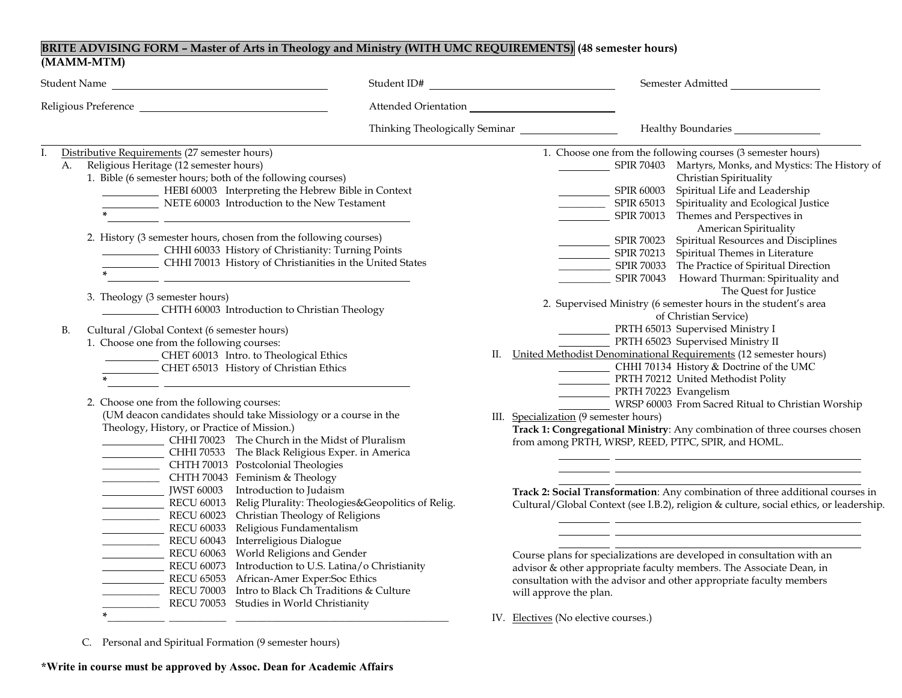## **BRITE ADVISING FORM – Master of Arts in Theology and Ministry (WITH UMC REQUIREMENTS) (48 semester hours) (MAMM-MTM)**

|    | Student Name                                                                                                                                                                                                                                                                                                                                                                                                                                                                                                                                      | Student ID#          | Semester Admitted                                                                                                                                                                                                                                                                                                                                                                                                                                                                                                                                                                      |
|----|---------------------------------------------------------------------------------------------------------------------------------------------------------------------------------------------------------------------------------------------------------------------------------------------------------------------------------------------------------------------------------------------------------------------------------------------------------------------------------------------------------------------------------------------------|----------------------|----------------------------------------------------------------------------------------------------------------------------------------------------------------------------------------------------------------------------------------------------------------------------------------------------------------------------------------------------------------------------------------------------------------------------------------------------------------------------------------------------------------------------------------------------------------------------------------|
|    |                                                                                                                                                                                                                                                                                                                                                                                                                                                                                                                                                   | Attended Orientation |                                                                                                                                                                                                                                                                                                                                                                                                                                                                                                                                                                                        |
|    |                                                                                                                                                                                                                                                                                                                                                                                                                                                                                                                                                   |                      |                                                                                                                                                                                                                                                                                                                                                                                                                                                                                                                                                                                        |
| Ι. | Distributive Requirements (27 semester hours)<br>Religious Heritage (12 semester hours)<br>A.<br>1. Bible (6 semester hours; both of the following courses)<br>HEBI 60003 Interpreting the Hebrew Bible in Context<br>NETE 60003 Introduction to the New Testament<br>2. History (3 semester hours, chosen from the following courses)<br>CHHI 60033 History of Christianity: Turning Points<br>CHHI 70013 History of Christianities in the United States<br>3. Theology (3 semester hours)                                                       |                      | 1. Choose one from the following courses (3 semester hours)<br>SPIR 70403 Martyrs, Monks, and Mystics: The History of<br>Christian Spirituality<br>SPIR 60003 Spiritual Life and Leadership<br>SPIR 65013 Spirituality and Ecological Justice<br>SPIR 70013 Themes and Perspectives in<br>American Spirituality<br>SPIR 70023 Spiritual Resources and Disciplines<br>SPIR 70213 Spiritual Themes in Literature<br>SPIR 70033 The Practice of Spiritual Direction<br>SPIR 70043 Howard Thurman: Spirituality and<br>The Quest for Justice                                               |
|    | CHTH 60003 Introduction to Christian Theology<br>Cultural / Global Context (6 semester hours)<br>B.<br>1. Choose one from the following courses:<br>CHET 60013 Intro. to Theological Ethics<br>CHET 65013 History of Christian Ethics<br>2. Choose one from the following courses:<br>(UM deacon candidates should take Missiology or a course in the<br>Theology, History, or Practice of Mission.)<br>CHHI 70023 The Church in the Midst of Pluralism<br>CHHI 70533 The Black Religious Exper. in America<br>CHTH 70013 Postcolonial Theologies |                      | 2. Supervised Ministry (6 semester hours in the student's area<br>of Christian Service)<br>PRTH 65013 Supervised Ministry I<br>PRTH 65023 Supervised Ministry II<br>II. United Methodist Denominational Requirements (12 semester hours)<br>CHHI 70134 History & Doctrine of the UMC<br>PRTH 70212 United Methodist Polity<br>PRTH 70223 Evangelism<br>WRSP 60003 From Sacred Ritual to Christian Worship<br>III. Specialization (9 semester hours)<br>Track 1: Congregational Ministry: Any combination of three courses chosen<br>from among PRTH, WRSP, REED, PTPC, SPIR, and HOML. |
|    | CHTH 70043 Feminism & Theology<br>JWST 60003 Introduction to Judaism<br>RECU 60013 Relig Plurality: Theologies&Geopolitics of Relig.<br>RECU 60023 Christian Theology of Religions<br>RECU 60033 Religious Fundamentalism<br>RECU 60043 Interreligious Dialogue<br>RECU 60063 World Religions and Gender<br>RECU 60073 Introduction to U.S. Latina/o Christianity<br>RECU 65053 African-Amer Exper:Soc Ethics<br>RECU 70003 Intro to Black Ch Traditions & Culture<br>RECU 70053 Studies in World Christianity                                    |                      | Track 2: Social Transformation: Any combination of three additional courses in<br>Cultural/Global Context (see I.B.2), religion & culture, social ethics, or leadership.<br>Course plans for specializations are developed in consultation with an<br>advisor & other appropriate faculty members. The Associate Dean, in<br>consultation with the advisor and other appropriate faculty members<br>will approve the plan.<br>IV. Electives (No elective courses.)                                                                                                                     |

C. Personal and Spiritual Formation (9 semester hours)